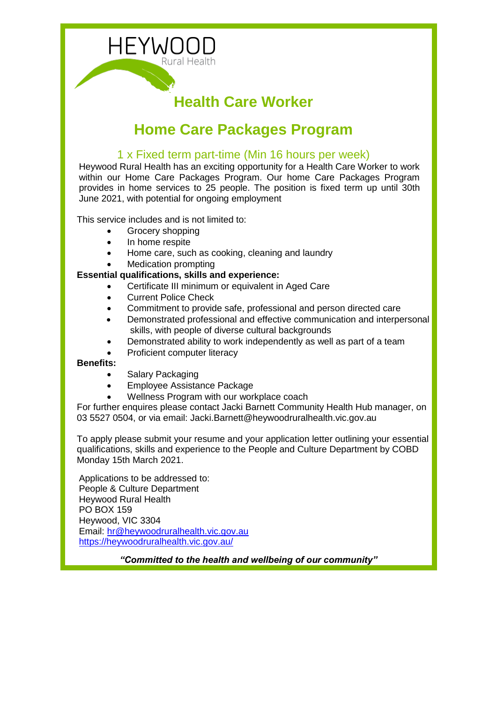

# **Health Care Worker**

## **Home Care Packages Program**

## 1 x Fixed term part-time (Min 16 hours per week)

Heywood Rural Health has an exciting opportunity for a Health Care Worker to work within our Home Care Packages Program. Our home Care Packages Program provides in home services to 25 people. The position is fixed term up until 30th June 2021, with potential for ongoing employment

This service includes and is not limited to:

- Grocery shopping
- In home respite
- Home care, such as cooking, cleaning and laundry
- Medication prompting

#### **Essential qualifications, skills and experience:**

- Certificate III minimum or equivalent in Aged Care
- Current Police Check
- Commitment to provide safe, professional and person directed care
- Demonstrated professional and effective communication and interpersonal skills, with people of diverse cultural backgrounds
- Demonstrated ability to work independently as well as part of a team
- Proficient computer literacy

#### **Benefits:**

- Salary Packaging
- Employee Assistance Package
- Wellness Program with our workplace coach

For further enquires please contact Jacki Barnett Community Health Hub manager, on 03 5527 0504, or via email: Jacki.Barnett@heywoodruralhealth.vic.gov.au

To apply please submit your resume and your application letter outlining your essential qualifications, skills and experience to the People and Culture Department by COBD Monday 15th March 2021.

Applications to be addressed to: People & Culture Department Heywood Rural Health PO BOX 159 Heywood, VIC 3304 Email: [hr@heywoodruralhealth.vic.gov.au](mailto:hr@heywoodruralhealth.vic.gov.au) <https://heywoodruralhealth.vic.gov.au/>

*"Committed to the health and wellbeing of our community"*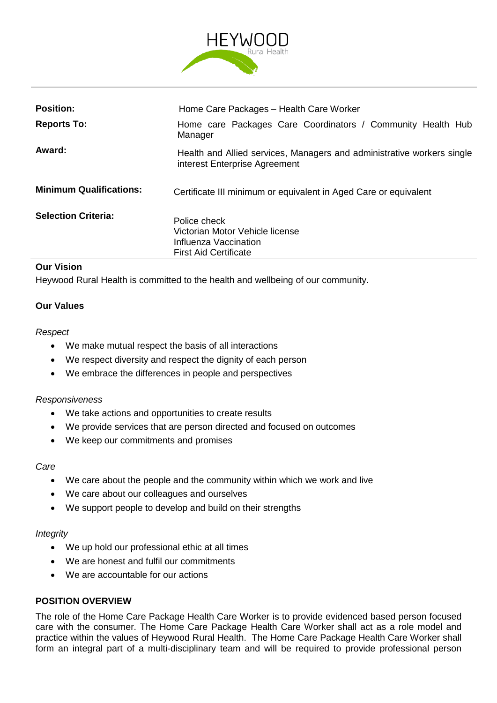

| <b>Position:</b>               | Home Care Packages - Health Care Worker                                                                  |  |  |  |  |
|--------------------------------|----------------------------------------------------------------------------------------------------------|--|--|--|--|
| <b>Reports To:</b>             | Home care Packages Care Coordinators / Community Health Hub<br>Manager                                   |  |  |  |  |
| Award:                         | Health and Allied services, Managers and administrative workers single<br>interest Enterprise Agreement  |  |  |  |  |
| <b>Minimum Qualifications:</b> | Certificate III minimum or equivalent in Aged Care or equivalent                                         |  |  |  |  |
| <b>Selection Criteria:</b>     | Police check<br>Victorian Motor Vehicle license<br>Influenza Vaccination<br><b>First Aid Certificate</b> |  |  |  |  |

## **Our Vision**

Heywood Rural Health is committed to the health and wellbeing of our community.

#### **Our Values**

#### *Respect*

- We make mutual respect the basis of all interactions
- We respect diversity and respect the dignity of each person
- We embrace the differences in people and perspectives

#### *Responsiveness*

- We take actions and opportunities to create results
- We provide services that are person directed and focused on outcomes
- We keep our commitments and promises

#### *Care*

- We care about the people and the community within which we work and live
- We care about our colleagues and ourselves
- We support people to develop and build on their strengths

#### *Integrity*

- We up hold our professional ethic at all times
- We are honest and fulfil our commitments
- We are accountable for our actions

#### **POSITION OVERVIEW**

The role of the Home Care Package Health Care Worker is to provide evidenced based person focused care with the consumer. The Home Care Package Health Care Worker shall act as a role model and practice within the values of Heywood Rural Health. The Home Care Package Health Care Worker shall form an integral part of a multi-disciplinary team and will be required to provide professional person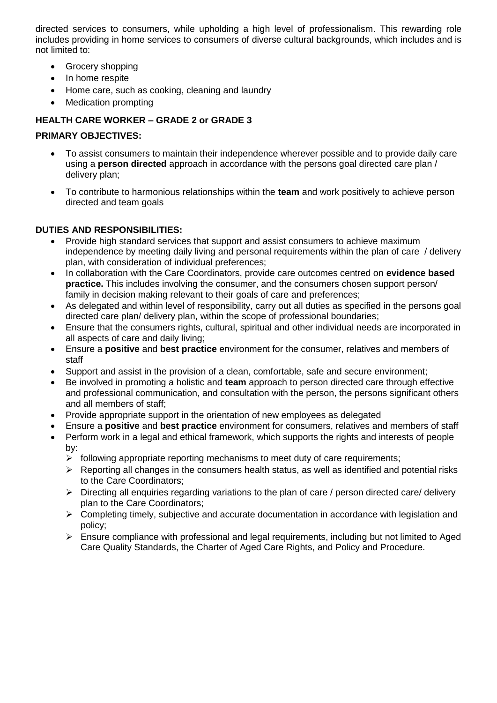directed services to consumers, while upholding a high level of professionalism. This rewarding role includes providing in home services to consumers of diverse cultural backgrounds, which includes and is not limited to:

- Grocery shopping
- In home respite
- Home care, such as cooking, cleaning and laundry
- Medication prompting

## **HEALTH CARE WORKER – GRADE 2 or GRADE 3**

### **PRIMARY OBJECTIVES:**

- To assist consumers to maintain their independence wherever possible and to provide daily care using a **person directed** approach in accordance with the persons goal directed care plan / delivery plan;
- To contribute to harmonious relationships within the **team** and work positively to achieve person directed and team goals

## **DUTIES AND RESPONSIBILITIES:**

- Provide high standard services that support and assist consumers to achieve maximum independence by meeting daily living and personal requirements within the plan of care / delivery plan, with consideration of individual preferences;
- In collaboration with the Care Coordinators, provide care outcomes centred on **evidence based practice.** This includes involving the consumer, and the consumers chosen support person/ family in decision making relevant to their goals of care and preferences;
- As delegated and within level of responsibility, carry out all duties as specified in the persons goal directed care plan/ delivery plan, within the scope of professional boundaries;
- Ensure that the consumers rights, cultural, spiritual and other individual needs are incorporated in all aspects of care and daily living;
- Ensure a **positive** and **best practice** environment for the consumer, relatives and members of staff
- Support and assist in the provision of a clean, comfortable, safe and secure environment;
- Be involved in promoting a holistic and **team** approach to person directed care through effective and professional communication, and consultation with the person, the persons significant others and all members of staff;
- Provide appropriate support in the orientation of new employees as delegated
- Ensure a **positive** and **best practice** environment for consumers, relatives and members of staff
- Perform work in a legal and ethical framework, which supports the rights and interests of people by:
	- $\triangleright$  following appropriate reporting mechanisms to meet duty of care requirements;
	- $\triangleright$  Reporting all changes in the consumers health status, as well as identified and potential risks to the Care Coordinators;
	- $\triangleright$  Directing all enquiries regarding variations to the plan of care / person directed care/ delivery plan to the Care Coordinators;
	- $\triangleright$  Completing timely, subjective and accurate documentation in accordance with legislation and policy;
	- $\triangleright$  Ensure compliance with professional and legal requirements, including but not limited to Aged Care Quality Standards, the Charter of Aged Care Rights, and Policy and Procedure.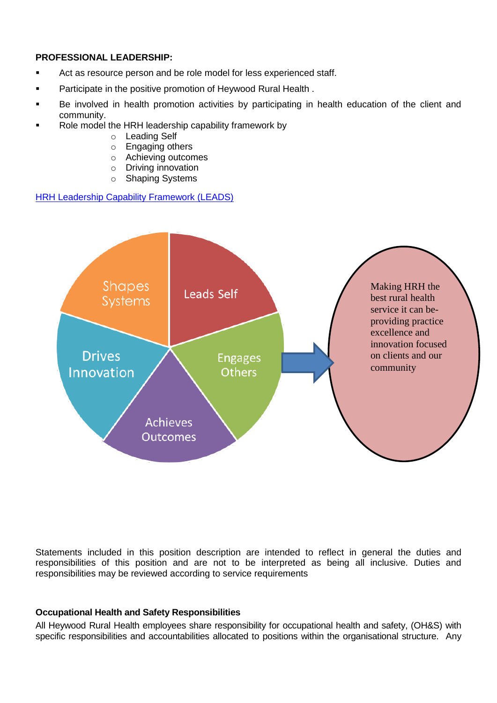#### **PROFESSIONAL LEADERSHIP:**

- **EXECT** Act as resource person and be role model for less experienced staff.
- **Participate in the positive promotion of Heywood Rural Health.**
- Be involved in health promotion activities by participating in health education of the client and community.
- Role model the HRH leadership capability framework by
	- o Leading Self
	- o Engaging others
	- o Achieving outcomes
	- o Driving innovation
	- o Shaping Systems

```
HRH Leadership Capability Framework (LEADS)
```


Statements included in this position description are intended to reflect in general the duties and responsibilities of this position and are not to be interpreted as being all inclusive. Duties and responsibilities may be reviewed according to service requirements

#### **Occupational Health and Safety Responsibilities**

All Heywood Rural Health employees share responsibility for occupational health and safety, (OH&S) with specific responsibilities and accountabilities allocated to positions within the organisational structure. Any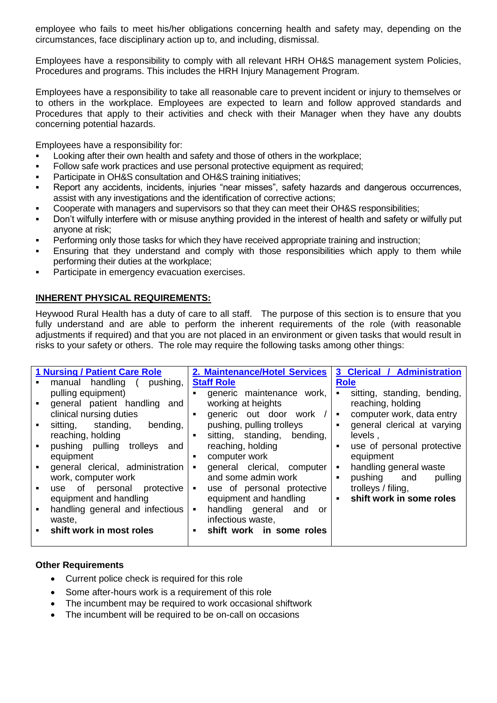employee who fails to meet his/her obligations concerning health and safety may, depending on the circumstances, face disciplinary action up to, and including, dismissal.

Employees have a responsibility to comply with all relevant HRH OH&S management system Policies, Procedures and programs. This includes the HRH Injury Management Program.

Employees have a responsibility to take all reasonable care to prevent incident or injury to themselves or to others in the workplace. Employees are expected to learn and follow approved standards and Procedures that apply to their activities and check with their Manager when they have any doubts concerning potential hazards.

Employees have a responsibility for:

- Looking after their own health and safety and those of others in the workplace;
- Follow safe work practices and use personal protective equipment as required;
- **Participate in OH&S consultation and OH&S training initiatives;**
- Report any accidents, incidents, injuries "near misses", safety hazards and dangerous occurrences, assist with any investigations and the identification of corrective actions;
- Cooperate with managers and supervisors so that they can meet their OH&S responsibilities;
- Don't wilfully interfere with or misuse anything provided in the interest of health and safety or wilfully put anyone at risk;
- **Performing only those tasks for which they have received appropriate training and instruction;**
- Ensuring that they understand and comply with those responsibilities which apply to them while performing their duties at the workplace;
- Participate in emergency evacuation exercises.

#### **INHERENT PHYSICAL REQUIREMENTS:**

Heywood Rural Health has a duty of care to all staff. The purpose of this section is to ensure that you fully understand and are able to perform the inherent requirements of the role (with reasonable adjustments if required) and that you are not placed in an environment or given tasks that would result in risks to your safety or others. The role may require the following tasks among other things:

|                | <b>1 Nursing / Patient Care Role</b> |                | 2. Maintenance/Hotel Services |                | 3 Clerical / Administration |
|----------------|--------------------------------------|----------------|-------------------------------|----------------|-----------------------------|
|                | manual handling<br>pushing,          |                | <b>Staff Role</b>             |                | <b>Role</b>                 |
|                | pulling equipment)                   |                | generic maintenance work,     |                | sitting, standing, bending, |
| $\blacksquare$ | general patient handling and         |                | working at heights            |                | reaching, holding           |
|                | clinical nursing duties              | $\blacksquare$ | generic out door work /       | ٠              | computer work, data entry   |
| $\blacksquare$ | sitting, standing, bending,          |                | pushing, pulling trolleys     | $\blacksquare$ | general clerical at varying |
|                | reaching, holding                    | $\blacksquare$ | sitting, standing, bending,   |                | levels,                     |
| $\blacksquare$ | pushing pulling trolleys and         |                | reaching, holding             | $\blacksquare$ | use of personal protective  |
|                | equipment                            |                | computer work                 |                | equipment                   |
|                | general clerical, administration     | $\blacksquare$ | general clerical, computer    | ٠              | handling general waste      |
|                | work, computer work                  |                | and some admin work           | $\blacksquare$ | pushing and<br>pulling      |
| $\blacksquare$ | of personal protective<br>use        | $\blacksquare$ | use of personal protective    |                | trolleys / filing,          |
|                | equipment and handling               |                | equipment and handling        | $\blacksquare$ | shift work in some roles    |
| $\blacksquare$ | handling general and infectious      | $\blacksquare$ | handling general and<br>or    |                |                             |
|                | waste.                               |                | infectious waste,             |                |                             |
|                | shift work in most roles             | $\blacksquare$ | shift work in some roles      |                |                             |
|                |                                      |                |                               |                |                             |

#### **Other Requirements**

- Current police check is required for this role
- Some after-hours work is a requirement of this role
- The incumbent may be required to work occasional shiftwork
- The incumbent will be required to be on-call on occasions